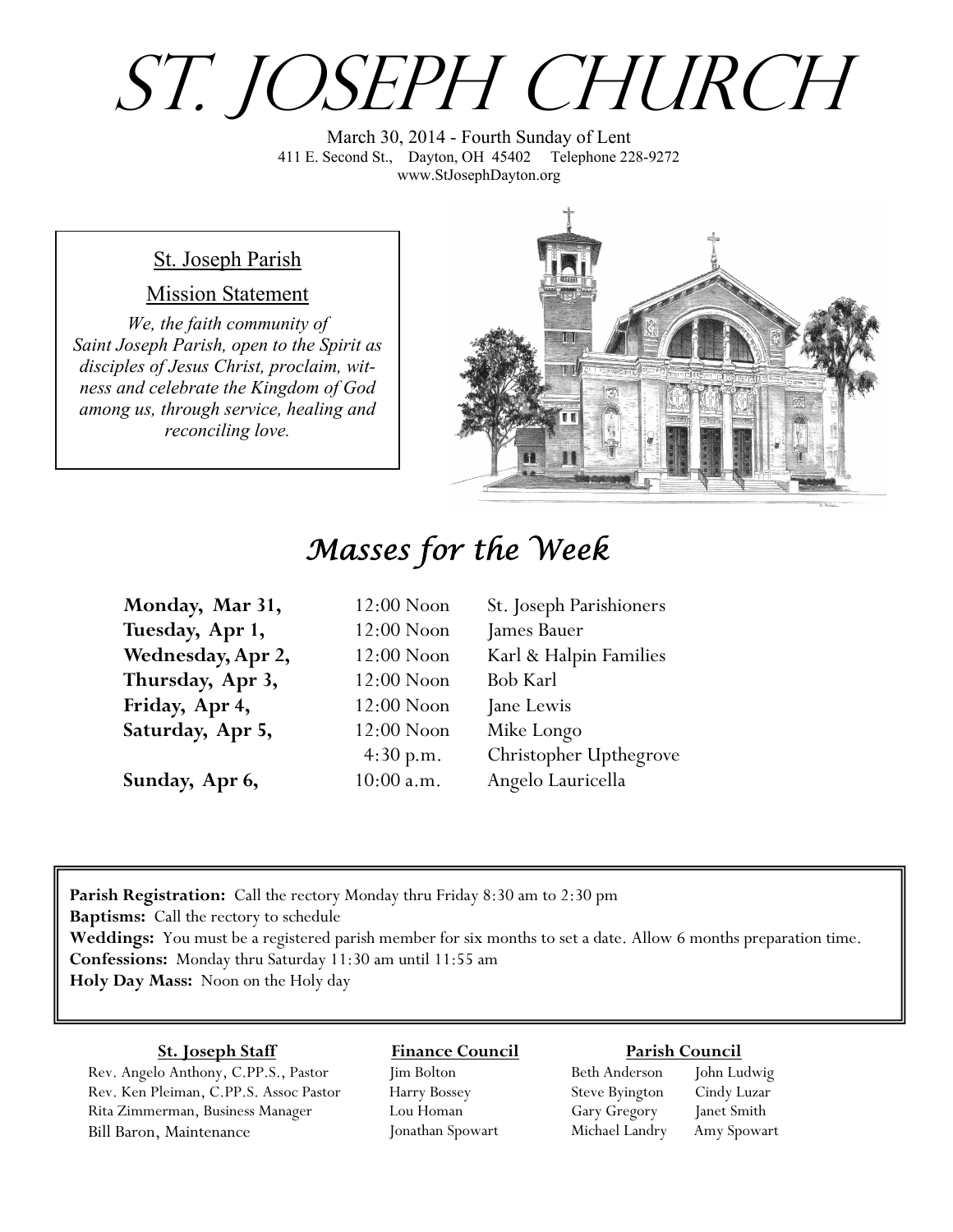# St. Joseph Church

March 30, 2014 - Fourth Sunday of Lent 411 E. Second St., Dayton, OH 45402 Telephone 228-9272 www.StJosephDayton.org

#### St. Joseph Parish

#### Mission Statement

*We, the faith community of Saint Joseph Parish, open to the Spirit as disciples of Jesus Christ, proclaim, witness and celebrate the Kingdom of God among us, through service, healing and reconciling love.*



# *Masses for the Week*

| Monday, Mar 31,   | $12:00$ Noon | St. Joseph Parishioners |
|-------------------|--------------|-------------------------|
| Tuesday, Apr 1,   | $12:00$ Noon | James Bauer             |
| Wednesday, Apr 2, | $12:00$ Noon | Karl & Halpin Families  |
| Thursday, Apr 3,  | $12:00$ Noon | <b>Bob Karl</b>         |
| Friday, Apr 4,    | $12:00$ Noon | Jane Lewis              |
| Saturday, Apr 5,  | $12:00$ Noon | Mike Longo              |
|                   | 4:30 p.m.    | Christopher Upthegrove  |
| Sunday, Apr 6,    | $10:00$ a.m. | Angelo Lauricella       |

**Parish Registration:** Call the rectory Monday thru Friday 8:30 am to 2:30 pm **Baptisms:** Call the rectory to schedule **Weddings:** You must be a registered parish member for six months to set a date. Allow 6 months preparation time. **Confessions:** Monday thru Saturday 11:30 am until 11:55 am **Holy Day Mass:** Noon on the Holy day

#### **St. Joseph Staff**

Rev. Angelo Anthony, C.PP.S., Pastor Rev. Ken Pleiman, C.PP.S. Assoc Pastor Rita Zimmerman, Business Manager Bill Baron, Maintenance

#### **Finance Council** Jim Bolton

Harry Bossey Lou Homan Jonathan Spowart

#### **Parish Council**

Beth Anderson John Ludwig Steve Byington Cindy Luzar Gary Gregory Janet Smith Michael Landry Amy Spowart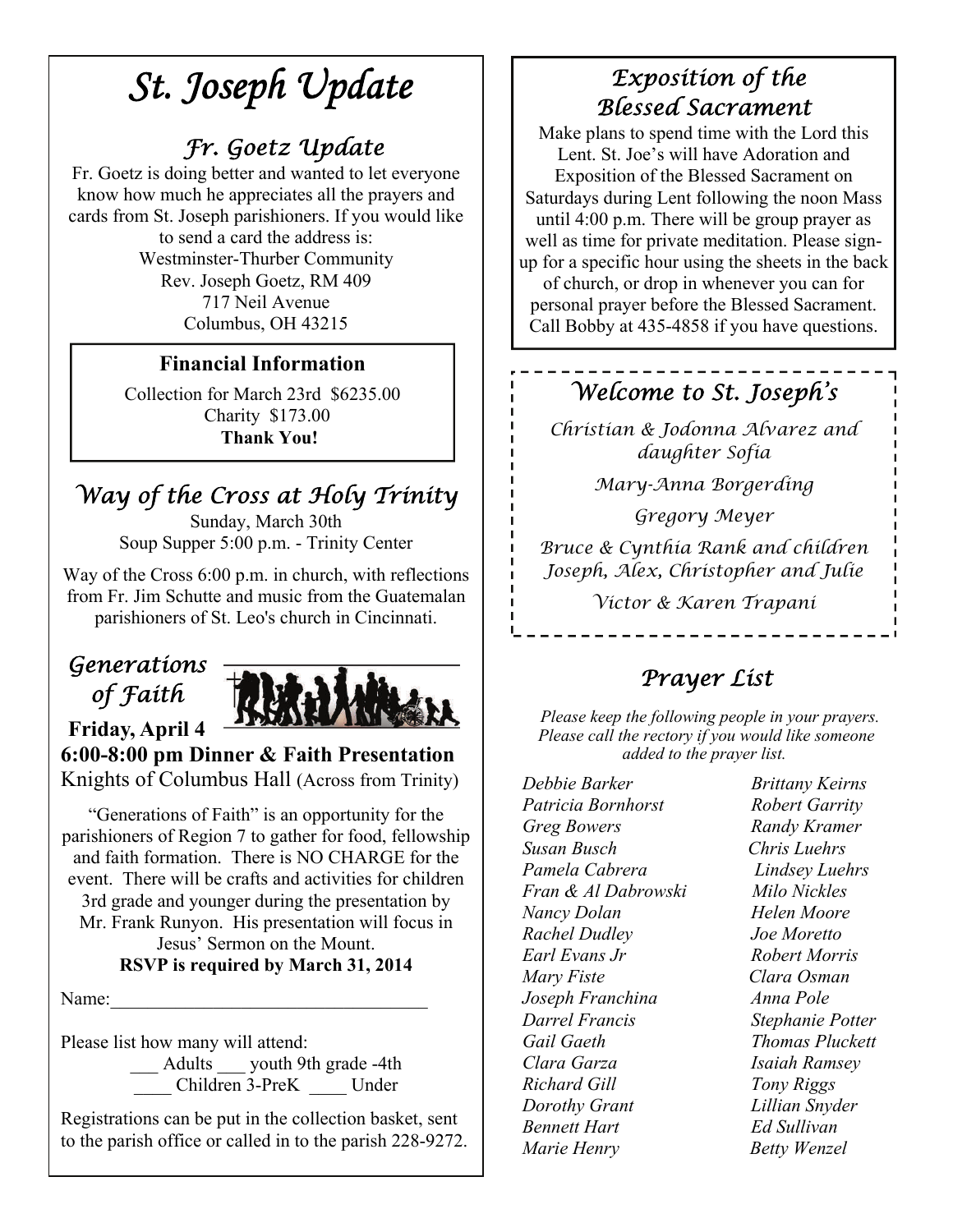# *St. Joseph Update*

## *Fr. Goetz Update*

Fr. Goetz is doing better and wanted to let everyone know how much he appreciates all the prayers and cards from St. Joseph parishioners. If you would like to send a card the address is: Westminster-Thurber Community Rev. Joseph Goetz, RM 409 717 Neil Avenue Columbus, OH 43215

#### **Financial Information**

Collection for March 23rd \$6235.00 Charity \$173.00  **Thank You!** 

# *Way of the Cross at Holy Trinity*

Sunday, March 30th Soup Supper 5:00 p.m. - Trinity Center

Way of the Cross 6:00 p.m. in church, with reflections from Fr. Jim Schutte and music from the Guatemalan parishioners of St. Leo's church in Cincinnati.

## *Generations of Faith*



**6:00-8:00 pm Dinner & Faith Presentation**  Knights of Columbus Hall (Across from Trinity)

"Generations of Faith" is an opportunity for the parishioners of Region 7 to gather for food, fellowship and faith formation. There is NO CHARGE for the event. There will be crafts and activities for children 3rd grade and younger during the presentation by Mr. Frank Runyon. His presentation will focus in Jesus' Sermon on the Mount.

#### **RSVP is required by March 31, 2014**

Name:

Please list how many will attend:

\_\_\_ Adults \_\_\_ youth 9th grade -4th \_\_\_\_ Children 3-PreK \_\_\_\_ Under

Registrations can be put in the collection basket, sent to the parish office or called in to the parish 228-9272.

## *Exposition of the Blessed Sacrament*

Make plans to spend time with the Lord this Lent. St. Joe's will have Adoration and Exposition of the Blessed Sacrament on Saturdays during Lent following the noon Mass until 4:00 p.m. There will be group prayer as well as time for private meditation. Please signup for a specific hour using the sheets in the back of church, or drop in whenever you can for personal prayer before the Blessed Sacrament. Call Bobby at 435-4858 if you have questions.

## *Welcome to St. Joseph's*

*Christian & Jodonna Alvarez and daughter Sofia* 

*Mary-Anna Borgerding* 

*Gregory Meyer* 

*Bruce & Cynthia Rank and children Joseph, Alex, Christopher and Julie* 

*Victor & Karen Trapani*

## *Prayer List*

 *Please keep the following people in your prayers. Please call the rectory if you would like someone added to the prayer list.* 

*Debbie Barker Brittany Keirns Patricia Bornhorst Robert Garrity Greg Bowers Randy Kramer Susan Busch Chris Luehrs Pamela Cabrera Lindsey Luehrs Fran & Al Dabrowski Milo Nickles Nancy Dolan Helen Moore Rachel Dudley Joe Moretto Earl Evans Jr Robert Morris Mary Fiste Clara Osman Joseph Franchina Anna Pole Darrel Francis Stephanie Potter Gail Gaeth Thomas Pluckett Clara Garza Isaiah Ramsey Richard Gill Tony Riggs Dorothy Grant Lillian Snyder Bennett Hart Ed Sullivan Marie Henry Betty Wenzel*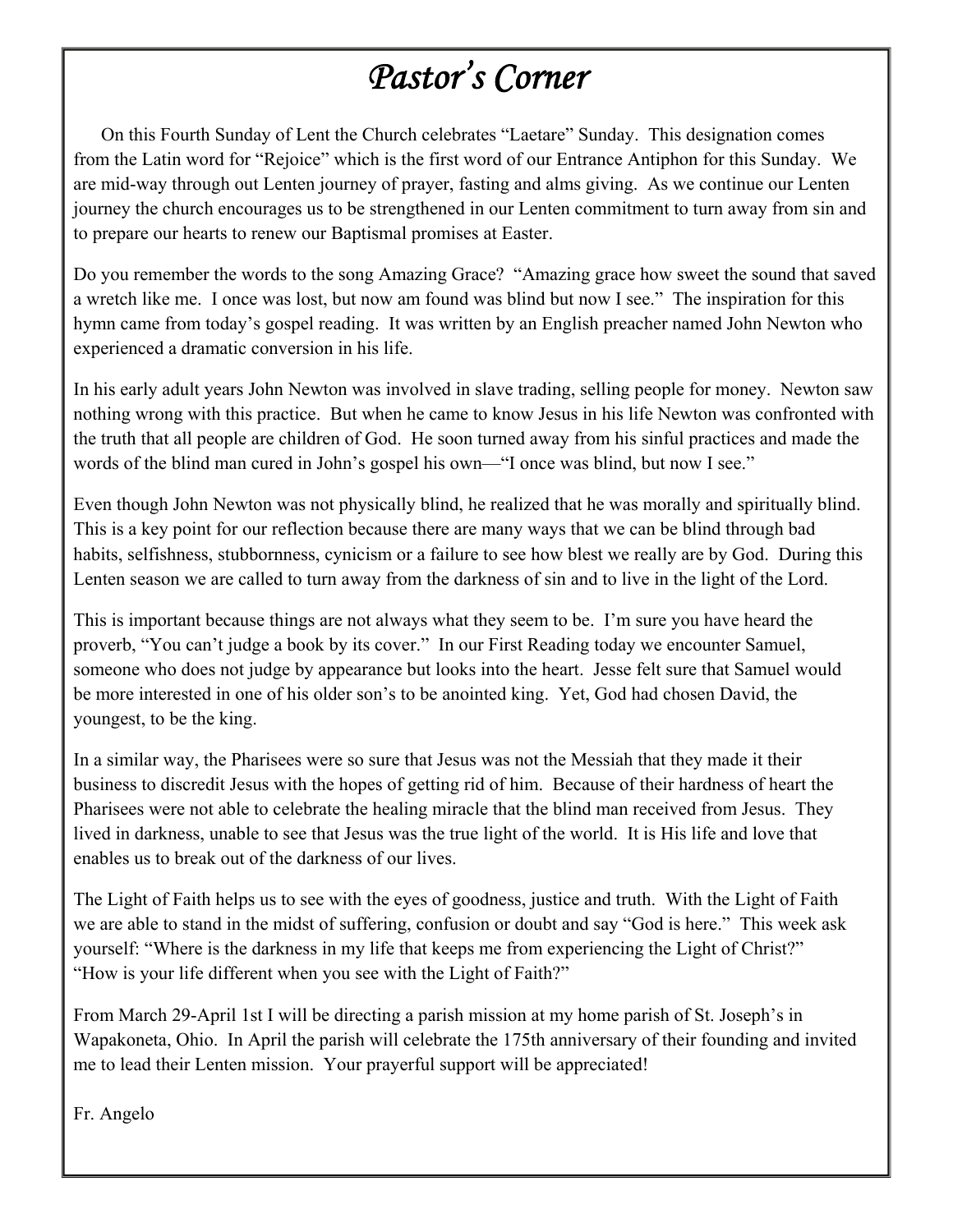# *Pastor's Corner*

 On this Fourth Sunday of Lent the Church celebrates "Laetare" Sunday. This designation comes from the Latin word for "Rejoice" which is the first word of our Entrance Antiphon for this Sunday. We are mid-way through out Lenten journey of prayer, fasting and alms giving. As we continue our Lenten journey the church encourages us to be strengthened in our Lenten commitment to turn away from sin and to prepare our hearts to renew our Baptismal promises at Easter.

Do you remember the words to the song Amazing Grace? "Amazing grace how sweet the sound that saved a wretch like me. I once was lost, but now am found was blind but now I see." The inspiration for this hymn came from today's gospel reading. It was written by an English preacher named John Newton who experienced a dramatic conversion in his life.

In his early adult years John Newton was involved in slave trading, selling people for money. Newton saw nothing wrong with this practice. But when he came to know Jesus in his life Newton was confronted with the truth that all people are children of God. He soon turned away from his sinful practices and made the words of the blind man cured in John's gospel his own—"I once was blind, but now I see."

Even though John Newton was not physically blind, he realized that he was morally and spiritually blind. This is a key point for our reflection because there are many ways that we can be blind through bad habits, selfishness, stubbornness, cynicism or a failure to see how blest we really are by God. During this Lenten season we are called to turn away from the darkness of sin and to live in the light of the Lord.

This is important because things are not always what they seem to be. I'm sure you have heard the proverb, "You can't judge a book by its cover." In our First Reading today we encounter Samuel, someone who does not judge by appearance but looks into the heart. Jesse felt sure that Samuel would be more interested in one of his older son's to be anointed king. Yet, God had chosen David, the youngest, to be the king.

In a similar way, the Pharisees were so sure that Jesus was not the Messiah that they made it their business to discredit Jesus with the hopes of getting rid of him. Because of their hardness of heart the Pharisees were not able to celebrate the healing miracle that the blind man received from Jesus. They lived in darkness, unable to see that Jesus was the true light of the world. It is His life and love that enables us to break out of the darkness of our lives.

The Light of Faith helps us to see with the eyes of goodness, justice and truth. With the Light of Faith we are able to stand in the midst of suffering, confusion or doubt and say "God is here." This week ask yourself: "Where is the darkness in my life that keeps me from experiencing the Light of Christ?" "How is your life different when you see with the Light of Faith?"

From March 29-April 1st I will be directing a parish mission at my home parish of St. Joseph's in Wapakoneta, Ohio. In April the parish will celebrate the 175th anniversary of their founding and invited me to lead their Lenten mission. Your prayerful support will be appreciated!

Fr. Angelo